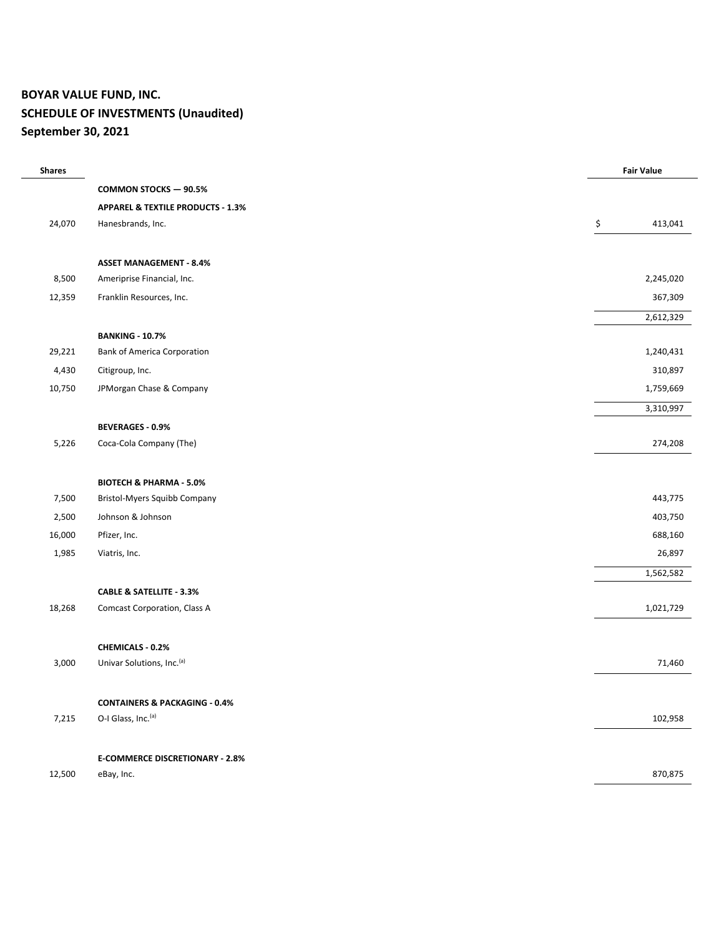## **BOYAR VALUE FUND, INC. SCHEDULE OF INVESTMENTS (Unaudited) September 30, 2021**

| <b>Shares</b> |                                              | <b>Fair Value</b> |
|---------------|----------------------------------------------|-------------------|
|               | <b>COMMON STOCKS - 90.5%</b>                 |                   |
|               | <b>APPAREL &amp; TEXTILE PRODUCTS - 1.3%</b> |                   |
| 24,070        | Hanesbrands, Inc.                            | \$<br>413,041     |
|               | <b>ASSET MANAGEMENT - 8.4%</b>               |                   |
| 8,500         | Ameriprise Financial, Inc.                   | 2,245,020         |
| 12,359        | Franklin Resources, Inc.                     | 367,309           |
|               |                                              | 2,612,329         |
|               | <b>BANKING - 10.7%</b>                       |                   |
| 29,221        | <b>Bank of America Corporation</b>           | 1,240,431         |
| 4,430         | Citigroup, Inc.                              | 310,897           |
| 10,750        | JPMorgan Chase & Company                     | 1,759,669         |
|               |                                              | 3,310,997         |
|               | <b>BEVERAGES - 0.9%</b>                      |                   |
| 5,226         | Coca-Cola Company (The)                      | 274,208           |
|               | <b>BIOTECH &amp; PHARMA - 5.0%</b>           |                   |
| 7,500         | Bristol-Myers Squibb Company                 | 443,775           |
| 2,500         | Johnson & Johnson                            | 403,750           |
| 16,000        | Pfizer, Inc.                                 | 688,160           |
| 1,985         | Viatris, Inc.                                | 26,897            |
|               |                                              | 1,562,582         |
|               | <b>CABLE &amp; SATELLITE - 3.3%</b>          |                   |
| 18,268        | <b>Comcast Corporation, Class A</b>          | 1,021,729         |
|               | CHEMICALS - 0.2%                             |                   |
| 3,000         | Univar Solutions, Inc.(a)                    | 71,460            |
|               | <b>CONTAINERS &amp; PACKAGING - 0.4%</b>     |                   |
| 7,215         | O-I Glass, Inc. (a)                          | 102,958           |
|               | <b>E-COMMERCE DISCRETIONARY - 2.8%</b>       |                   |
| 12,500        | eBay, Inc.                                   | 870,875           |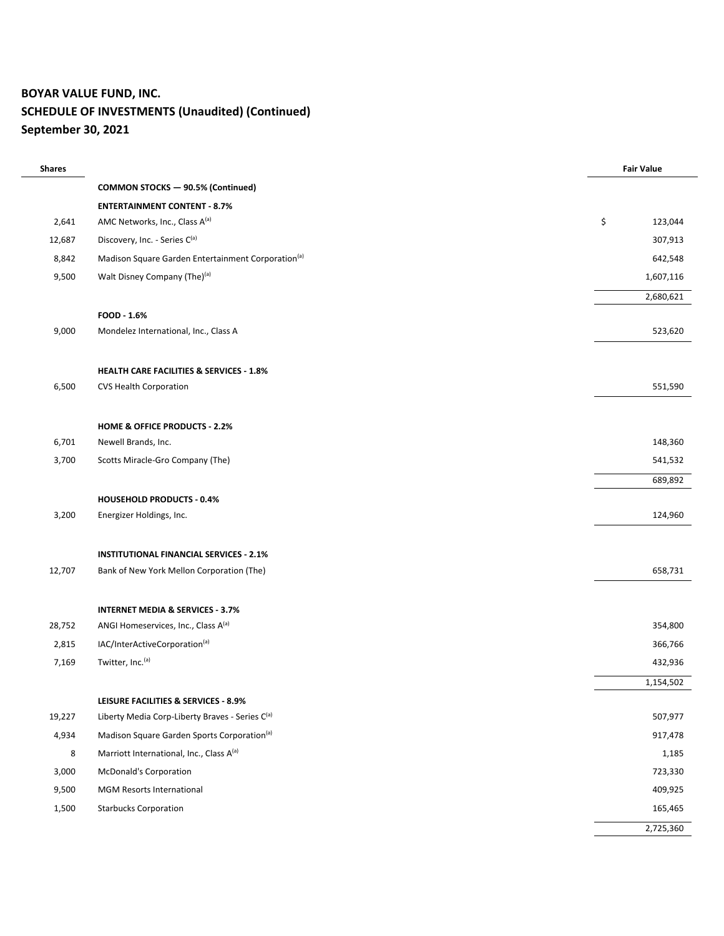## **BOYAR VALUE FUND, INC. SCHEDULE OF INVESTMENTS (Unaudited) (Continued) September 30, 2021**

| <b>Shares</b> |                                                                | <b>Fair Value</b> |
|---------------|----------------------------------------------------------------|-------------------|
|               | <b>COMMON STOCKS - 90.5% (Continued)</b>                       |                   |
|               | <b>ENTERTAINMENT CONTENT - 8.7%</b>                            |                   |
| 2,641         | AMC Networks, Inc., Class A(a)                                 | \$<br>123,044     |
| 12,687        | Discovery, Inc. - Series C(a)                                  | 307,913           |
| 8,842         | Madison Square Garden Entertainment Corporation <sup>(a)</sup> | 642,548           |
| 9,500         | Walt Disney Company (The) <sup>(a)</sup>                       | 1,607,116         |
|               |                                                                | 2,680,621         |
|               | FOOD - 1.6%                                                    |                   |
| 9,000         | Mondelez International, Inc., Class A                          | 523,620           |
|               |                                                                |                   |
|               | <b>HEALTH CARE FACILITIES &amp; SERVICES - 1.8%</b>            |                   |
| 6,500         | <b>CVS Health Corporation</b>                                  | 551,590           |
|               |                                                                |                   |
|               | <b>HOME &amp; OFFICE PRODUCTS - 2.2%</b>                       |                   |
| 6,701         | Newell Brands, Inc.                                            | 148,360           |
| 3,700         | Scotts Miracle-Gro Company (The)                               | 541,532           |
|               |                                                                | 689,892           |
|               | <b>HOUSEHOLD PRODUCTS - 0.4%</b>                               |                   |
| 3,200         | Energizer Holdings, Inc.                                       | 124,960           |
|               |                                                                |                   |
|               | <b>INSTITUTIONAL FINANCIAL SERVICES - 2.1%</b>                 |                   |
| 12,707        | Bank of New York Mellon Corporation (The)                      | 658,731           |
|               |                                                                |                   |
|               | <b>INTERNET MEDIA &amp; SERVICES - 3.7%</b>                    |                   |
| 28,752        | ANGI Homeservices, Inc., Class A <sup>(a)</sup>                | 354,800           |
| 2,815         | IAC/InterActiveCorporation(a)                                  | 366,766           |
| 7,169         | Twitter, Inc. <sup>(a)</sup>                                   | 432,936           |
|               |                                                                | 1,154,502         |
|               | LEISURE FACILITIES & SERVICES - 8.9%                           |                   |
| 19,227        | Liberty Media Corp-Liberty Braves - Series C(a)                | 507,977           |
| 4,934         | Madison Square Garden Sports Corporation <sup>(a)</sup>        | 917,478           |
| 8             | Marriott International, Inc., Class A(a)                       | 1,185             |
| 3,000         | <b>McDonald's Corporation</b>                                  | 723,330           |
| 9,500         | MGM Resorts International                                      | 409,925           |
| 1,500         | <b>Starbucks Corporation</b>                                   | 165,465           |
|               |                                                                | 2,725,360         |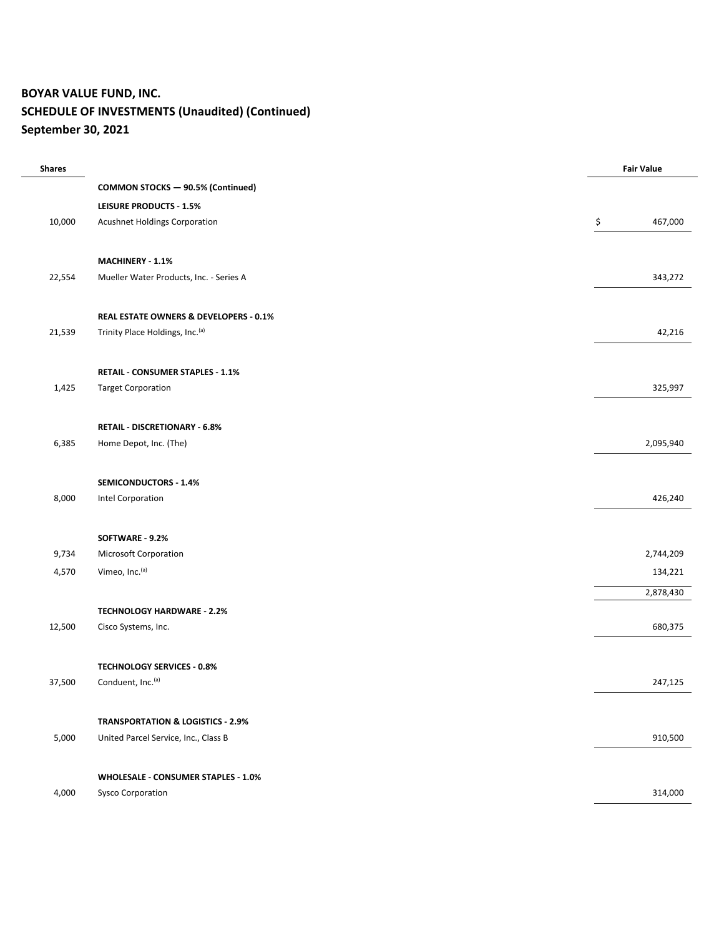## **BOYAR VALUE FUND, INC. SCHEDULE OF INVESTMENTS (Unaudited) (Continued) September 30, 2021**

| <b>Shares</b> |                                              | <b>Fair Value</b> |
|---------------|----------------------------------------------|-------------------|
|               | <b>COMMON STOCKS - 90.5% (Continued)</b>     |                   |
|               | <b>LEISURE PRODUCTS - 1.5%</b>               |                   |
| 10,000        | Acushnet Holdings Corporation                | \$<br>467,000     |
|               | MACHINERY - 1.1%                             |                   |
| 22,554        | Mueller Water Products, Inc. - Series A      | 343,272           |
|               | REAL ESTATE OWNERS & DEVELOPERS - 0.1%       |                   |
| 21,539        | Trinity Place Holdings, Inc. (a)             | 42,216            |
|               | RETAIL - CONSUMER STAPLES - 1.1%             |                   |
| 1,425         | <b>Target Corporation</b>                    | 325,997           |
|               | <b>RETAIL - DISCRETIONARY - 6.8%</b>         |                   |
| 6,385         | Home Depot, Inc. (The)                       | 2,095,940         |
|               | SEMICONDUCTORS - 1.4%                        |                   |
| 8,000         | Intel Corporation                            | 426,240           |
|               | SOFTWARE - 9.2%                              |                   |
| 9,734         | Microsoft Corporation                        | 2,744,209         |
| 4,570         | Vimeo, Inc. <sup>(a)</sup>                   | 134,221           |
|               |                                              | 2,878,430         |
|               | <b>TECHNOLOGY HARDWARE - 2.2%</b>            |                   |
| 12,500        | Cisco Systems, Inc.                          | 680,375           |
|               | <b>TECHNOLOGY SERVICES - 0.8%</b>            |                   |
| 37,500        | Conduent, Inc. <sup>(a)</sup>                | 247,125           |
|               | <b>TRANSPORTATION &amp; LOGISTICS - 2.9%</b> |                   |
| 5,000         | United Parcel Service, Inc., Class B         | 910,500           |
|               | <b>WHOLESALE - CONSUMER STAPLES - 1.0%</b>   |                   |
| 4,000         | <b>Sysco Corporation</b>                     | 314,000           |